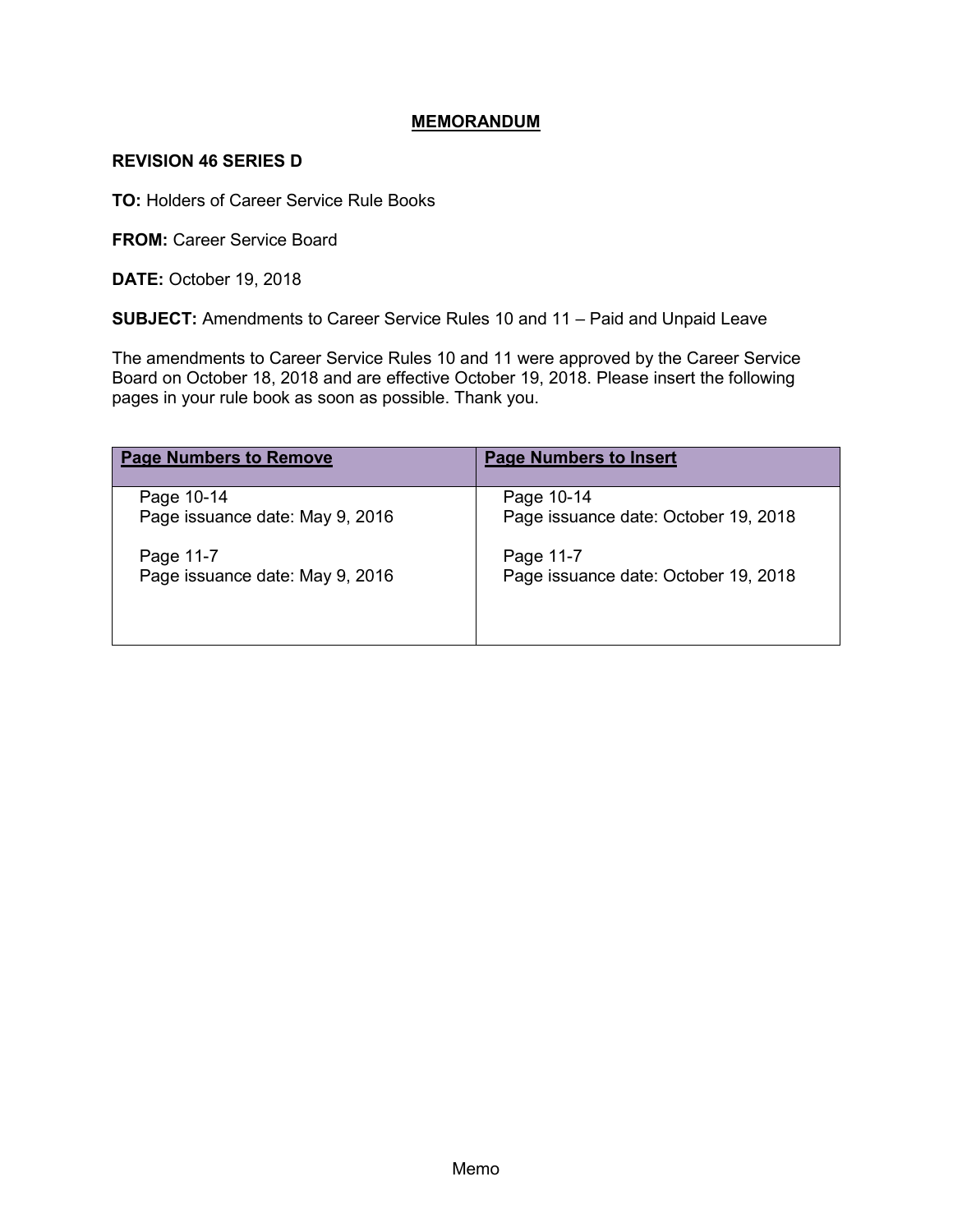### **MEMORANDUM**

#### **REVISION 46 SERIES D**

**TO:** Holders of Career Service Rule Books

**FROM: Career Service Board** 

**DATE:** October 19, 2018

**SUBJECT:** Amendments to Career Service Rules 10 and 11 – Paid and Unpaid Leave

The amendments to Career Service Rules 10 and 11 were approved by the Career Service Board on October 18, 2018 and are effective October 19, 2018. Please insert the following pages in your rule book as soon as possible. Thank you.

| <b>Page Numbers to Remove</b>   | <b>Page Numbers to Insert</b>        |
|---------------------------------|--------------------------------------|
| Page 10-14                      | Page 10-14                           |
| Page issuance date: May 9, 2016 | Page issuance date: October 19, 2018 |
| Page 11-7                       | Page 11-7                            |
| Page issuance date: May 9, 2016 | Page issuance date: October 19, 2018 |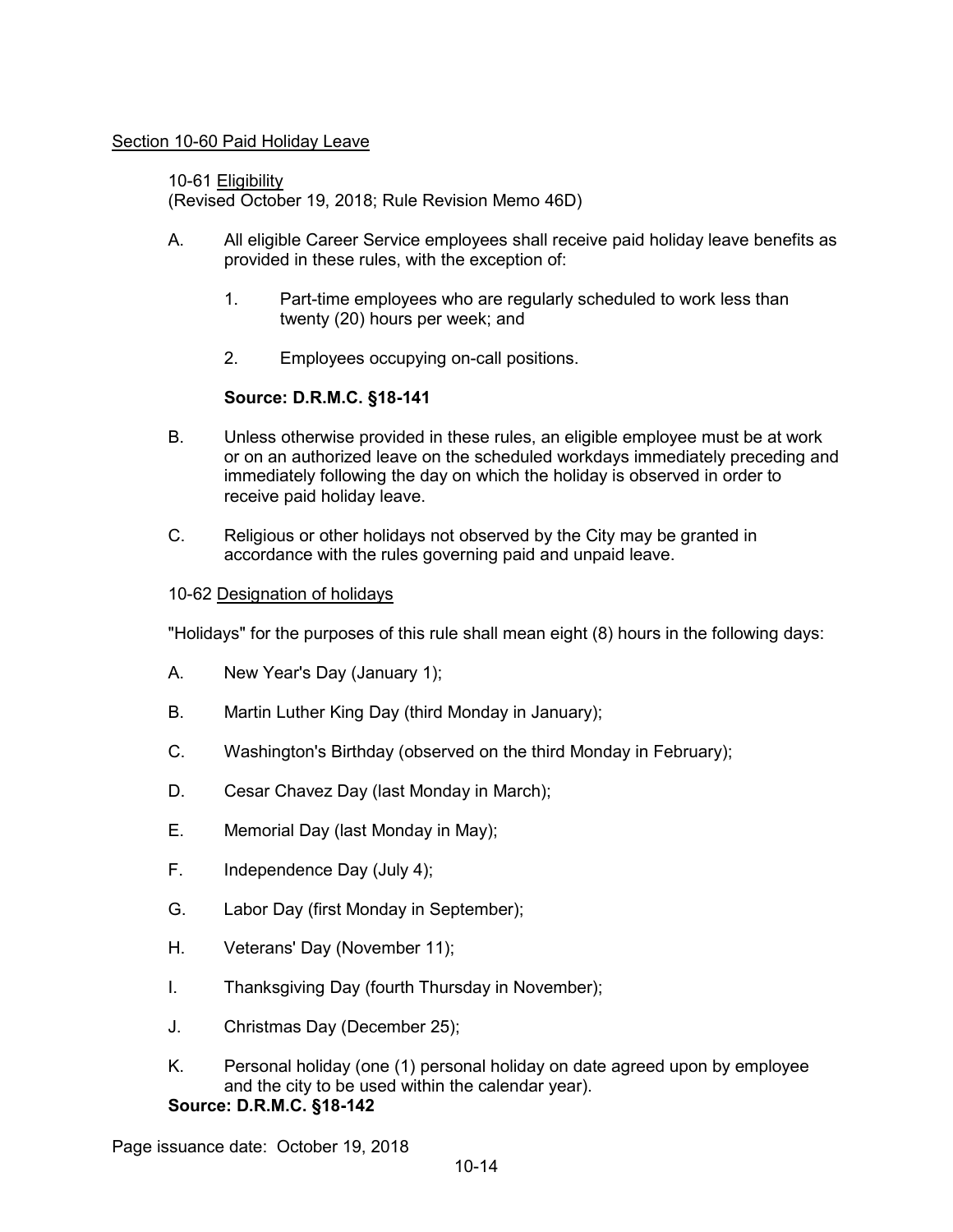#### Section 10-60 Paid Holiday Leave

10-61 Eligibility (Revised October 19, 2018; Rule Revision Memo 46D)

- A. All eligible Career Service employees shall receive paid holiday leave benefits as provided in these rules, with the exception of:
	- 1. Part-time employees who are regularly scheduled to work less than twenty (20) hours per week; and
	- 2. Employees occupying on-call positions.

# **Source: D.R.M.C. §18-141**

- B. Unless otherwise provided in these rules, an eligible employee must be at work or on an authorized leave on the scheduled workdays immediately preceding and immediately following the day on which the holiday is observed in order to receive paid holiday leave.
- C. Religious or other holidays not observed by the City may be granted in accordance with the rules governing paid and unpaid leave.

### 10-62 Designation of holidays

"Holidays" for the purposes of this rule shall mean eight (8) hours in the following days:

- A. New Year's Day (January 1);
- B. Martin Luther King Day (third Monday in January);
- C. Washington's Birthday (observed on the third Monday in February);
- D. Cesar Chavez Day (last Monday in March);
- E. Memorial Day (last Monday in May);
- F. Independence Day (July 4);
- G. Labor Day (first Monday in September);
- H. Veterans' Day (November 11);
- I. Thanksgiving Day (fourth Thursday in November);
- J. Christmas Day (December 25);
- K. Personal holiday (one (1) personal holiday on date agreed upon by employee and the city to be used within the calendar year). **Source: D.R.M.C. §18-142**

Page issuance date: October 19, 2018